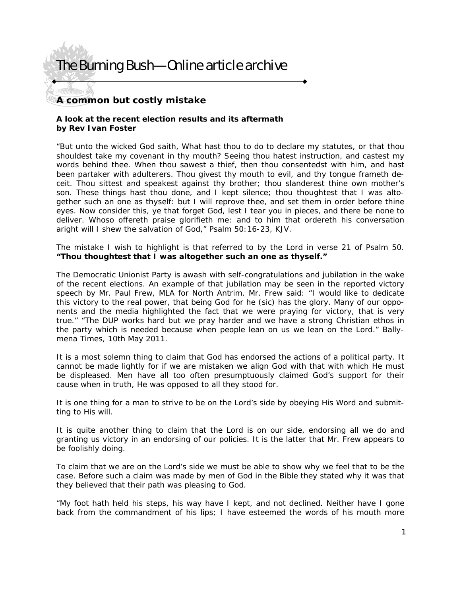## **A common but costly mistake**

### **A look at the recent election results and its aftermath by Rev Ivan Foster**

"But unto the wicked God saith, What hast thou to do to declare my statutes, or that thou shouldest take my covenant in thy mouth? Seeing thou hatest instruction, and castest my words behind thee. When thou sawest a thief, then thou consentedst with him, and hast been partaker with adulterers. Thou givest thy mouth to evil, and thy tongue frameth deceit. Thou sittest and speakest against thy brother; thou slanderest thine own mother's son. These things hast thou done, and I kept silence; thou thoughtest that I was altogether such an one as thyself: but I will reprove thee, and set them in order before thine eyes. Now consider this, ye that forget God, lest I tear you in pieces, and there be none to deliver. Whoso offereth praise glorifieth me: and to him that ordereth his conversation aright will I shew the salvation of God," Psalm 50:16-23, KJV.

The mistake I wish to highlight is that referred to by the Lord in verse 21 of Psalm 50. **"Thou thoughtest that I was altogether such an one as thyself."**

The Democratic Unionist Party is awash with self-congratulations and jubilation in the wake of the recent elections. An example of that jubilation may be seen in the reported victory speech by Mr. Paul Frew, MLA for North Antrim. Mr. Frew said: "I would like to dedicate this victory to the real power, that being God for he (sic) has the glory. Many of our opponents and the media highlighted the fact that we were praying for victory, that is very true." "The DUP works hard but we pray harder and we have a strong Christian ethos in the party which is needed because when people lean on us we lean on the Lord." Ballymena Times, 10th May 2011.

It is a most solemn thing to claim that God has endorsed the actions of a political party. It cannot be made lightly for if we are mistaken we align God with that with which He must be displeased. Men have all too often presumptuously claimed God's support for their cause when in truth, He was opposed to all they stood for.

It is one thing for a man to strive to be on the Lord's side by obeying His Word and submitting to His will.

It is quite another thing to claim that the Lord is on our side, endorsing all we do and granting us victory in an endorsing of our policies. It is the latter that Mr. Frew appears to be foolishly doing.

To claim that we are on the Lord's side we must be able to show why we feel that to be the case. Before such a claim was made by men of God in the Bible they stated why it was that they believed that their path was pleasing to God.

"My foot hath held his steps, his way have I kept, and not declined. Neither have I gone back from the commandment of his lips; I have esteemed the words of his mouth more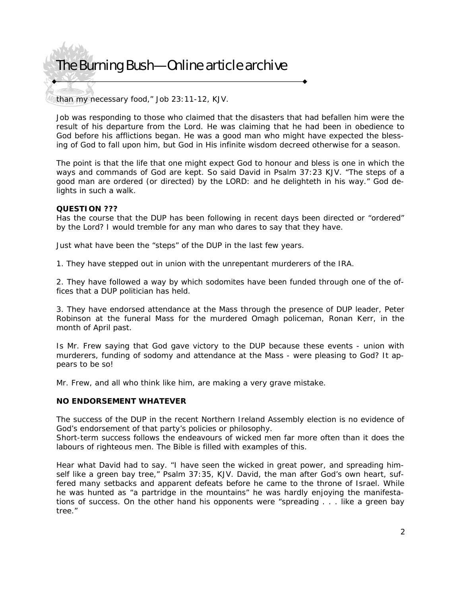than my necessary food," Job 23:11-12, KJV.

Job was responding to those who claimed that the disasters that had befallen him were the result of his departure from the Lord. He was claiming that he had been in obedience to God before his afflictions began. He was a good man who might have expected the blessing of God to fall upon him, but God in His infinite wisdom decreed otherwise for a season.

The point is that the life that one might expect God to honour and bless is one in which the ways and commands of God are kept. So said David in Psalm 37:23 KJV. "The steps of a good man are ordered (or directed) by the LORD: and he delighteth in his way." God delights in such a walk.

### **QUESTION ???**

Has the course that the DUP has been following in recent days been directed or "ordered" by the Lord? I would tremble for any man who dares to say that they have.

Just what have been the "steps" of the DUP in the last few years.

1. They have stepped out in union with the unrepentant murderers of the IRA.

2. They have followed a way by which sodomites have been funded through one of the offices that a DUP politician has held.

3. They have endorsed attendance at the Mass through the presence of DUP leader, Peter Robinson at the funeral Mass for the murdered Omagh policeman, Ronan Kerr, in the month of April past.

Is Mr. Frew saying that God gave victory to the DUP because these events - union with murderers, funding of sodomy and attendance at the Mass - were pleasing to God? It appears to be so!

Mr. Frew, and all who think like him, are making a very grave mistake.

### **NO ENDORSEMENT WHATEVER**

The success of the DUP in the recent Northern Ireland Assembly election is no evidence of God's endorsement of that party's policies or philosophy.

Short-term success follows the endeavours of wicked men far more often than it does the labours of righteous men. The Bible is filled with examples of this.

Hear what David had to say. "I have seen the wicked in great power, and spreading himself like a green bay tree," Psalm 37:35, KJV. David, the man after God's own heart, suffered many setbacks and apparent defeats before he came to the throne of Israel. While he was hunted as "a partridge in the mountains" he was hardly enjoying the manifestations of success. On the other hand his opponents were "spreading . . . like a green bay tree."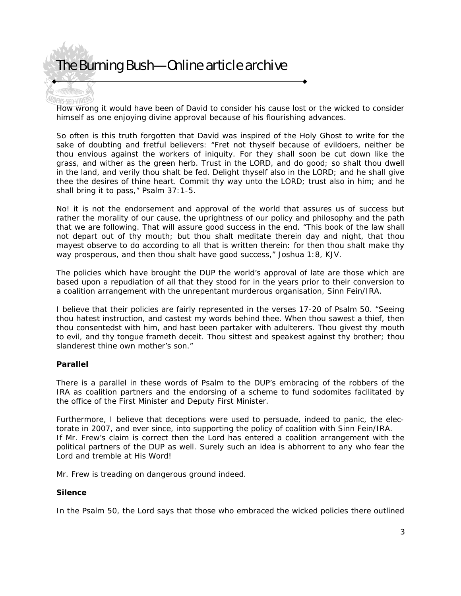**How wrong it would have been of David to consider his cause lost or the wicked to consider** himself as one enjoying divine approval because of his flourishing advances.

So often is this truth forgotten that David was inspired of the Holy Ghost to write for the sake of doubting and fretful believers: "Fret not thyself because of evildoers, neither be thou envious against the workers of iniquity. For they shall soon be cut down like the grass, and wither as the green herb. Trust in the LORD, and do good; so shalt thou dwell in the land, and verily thou shalt be fed. Delight thyself also in the LORD; and he shall give thee the desires of thine heart. Commit thy way unto the LORD; trust also in him; and he shall bring it to pass," Psalm 37:1-5.

No! it is not the endorsement and approval of the world that assures us of success but rather the morality of our cause, the uprightness of our policy and philosophy and the path that we are following. That will assure good success in the end. "This book of the law shall not depart out of thy mouth; but thou shalt meditate therein day and night, that thou mayest observe to do according to all that is written therein: for then thou shalt make thy way prosperous, and then thou shalt have good success," Joshua 1:8, KJV.

The policies which have brought the DUP the world's approval of late are those which are based upon a repudiation of all that they stood for in the years prior to their conversion to a coalition arrangement with the unrepentant murderous organisation, Sinn Fein/IRA.

I believe that their policies are fairly represented in the verses 17-20 of Psalm 50. "Seeing thou hatest instruction, and castest my words behind thee. When thou sawest a thief, then thou consentedst with him, and hast been partaker with adulterers. Thou givest thy mouth to evil, and thy tongue frameth deceit. Thou sittest and speakest against thy brother; thou slanderest thine own mother's son."

### **Parallel**

There is a parallel in these words of Psalm to the DUP's embracing of the robbers of the IRA as coalition partners and the endorsing of a scheme to fund sodomites facilitated by the office of the First Minister and Deputy First Minister.

Furthermore, I believe that deceptions were used to persuade, indeed to panic, the electorate in 2007, and ever since, into supporting the policy of coalition with Sinn Fein/IRA. If Mr. Frew's claim is correct then the Lord has entered a coalition arrangement with the political partners of the DUP as well. Surely such an idea is abhorrent to any who fear the Lord and tremble at His Word!

Mr. Frew is treading on dangerous ground indeed.

### **Silence**

In the Psalm 50, the Lord says that those who embraced the wicked policies there outlined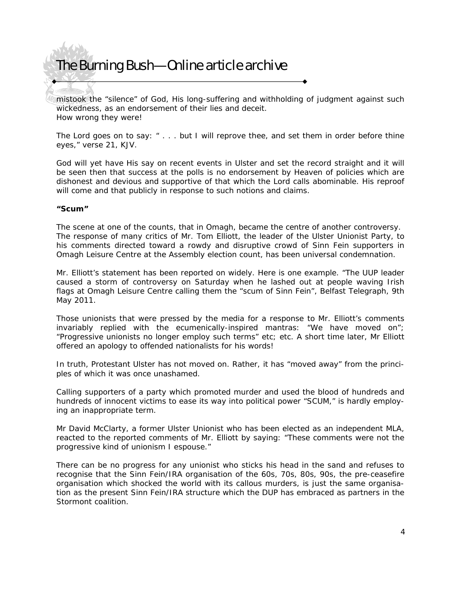mistook the "silence" of God, His long-suffering and withholding of judgment against such wickedness, as an endorsement of their lies and deceit. How wrong they were!

The Lord goes on to say: " . . . but I will reprove thee, and set them in order before thine eyes," verse 21, KJV.

God will yet have His say on recent events in Ulster and set the record straight and it will be seen then that success at the polls is no endorsement by Heaven of policies which are dishonest and devious and supportive of that which the Lord calls abominable. His reproof will come and that publicly in response to such notions and claims.

### **"Scum"**

The scene at one of the counts, that in Omagh, became the centre of another controversy. The response of many critics of Mr. Tom Elliott, the leader of the Ulster Unionist Party, to his comments directed toward a rowdy and disruptive crowd of Sinn Fein supporters in Omagh Leisure Centre at the Assembly election count, has been universal condemnation.

Mr. Elliott's statement has been reported on widely. Here is one example. "The UUP leader caused a storm of controversy on Saturday when he lashed out at people waving Irish flags at Omagh Leisure Centre calling them the "scum of Sinn Fein", Belfast Telegraph, 9th May 2011.

Those unionists that were pressed by the media for a response to Mr. Elliott's comments invariably replied with the ecumenically-inspired mantras: "We have moved on"; "Progressive unionists no longer employ such terms" etc; etc. A short time later, Mr Elliott offered an apology to offended nationalists for his words!

In truth, Protestant Ulster has not moved on. Rather, it has "moved away" from the principles of which it was once unashamed.

Calling supporters of a party which promoted murder and used the blood of hundreds and hundreds of innocent victims to ease its way into political power "SCUM," is hardly employing an inappropriate term.

Mr David McClarty, a former Ulster Unionist who has been elected as an independent MLA, reacted to the reported comments of Mr. Elliott by saying: "These comments were not the progressive kind of unionism I espouse."

There can be no progress for any unionist who sticks his head in the sand and refuses to recognise that the Sinn Fein/IRA organisation of the 60s, 70s, 80s, 90s, the pre-ceasefire organisation which shocked the world with its callous murders, is just the same organisation as the present Sinn Fein/IRA structure which the DUP has embraced as partners in the Stormont coalition.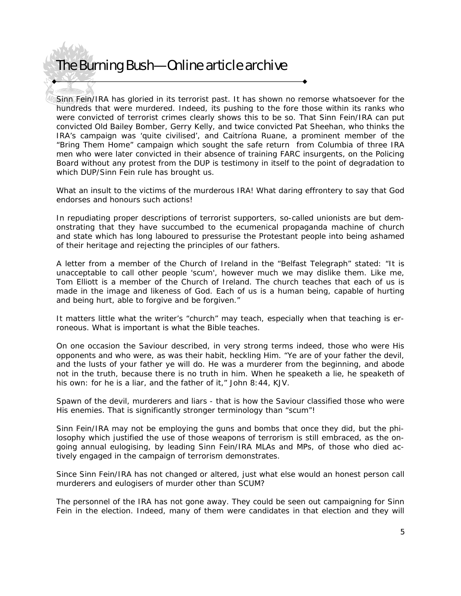Sinn Fein/IRA has gloried in its terrorist past. It has shown no remorse whatsoever for the hundreds that were murdered. Indeed, its pushing to the fore those within its ranks who were convicted of terrorist crimes clearly shows this to be so. That Sinn Fein/IRA can put convicted Old Bailey Bomber, Gerry Kelly, and twice convicted Pat Sheehan, who thinks the IRA's campaign was 'quite civilised', and Caitríona Ruane, a prominent member of the "Bring Them Home" campaign which sought the safe return from Columbia of three IRA men who were later convicted in their absence of training FARC insurgents, on the Policing Board without any protest from the DUP is testimony in itself to the point of degradation to which DUP/Sinn Fein rule has brought us.

What an insult to the victims of the murderous IRA! What daring effrontery to say that God endorses and honours such actions!

In repudiating proper descriptions of terrorist supporters, so-called unionists are but demonstrating that they have succumbed to the ecumenical propaganda machine of church and state which has long laboured to pressurise the Protestant people into being ashamed of their heritage and rejecting the principles of our fathers.

A letter from a member of the Church of Ireland in the "Belfast Telegraph" stated: "It is unacceptable to call other people 'scum', however much we may dislike them. Like me, Tom Elliott is a member of the Church of Ireland. The church teaches that each of us is made in the image and likeness of God. Each of us is a human being, capable of hurting and being hurt, able to forgive and be forgiven."

It matters little what the writer's "church" may teach, especially when that teaching is erroneous. What is important is what the Bible teaches.

On one occasion the Saviour described, in very strong terms indeed, those who were His opponents and who were, as was their habit, heckling Him. "Ye are of your father the devil, and the lusts of your father ye will do. He was a murderer from the beginning, and abode not in the truth, because there is no truth in him. When he speaketh a lie, he speaketh of his own: for he is a liar, and the father of it," John 8:44, KJV.

Spawn of the devil, murderers and liars - that is how the Saviour classified those who were His enemies. That is significantly stronger terminology than "scum"!

Sinn Fein/IRA may not be employing the guns and bombs that once they did, but the philosophy which justified the use of those weapons of terrorism is still embraced, as the ongoing annual eulogising, by leading Sinn Fein/IRA MLAs and MPs, of those who died actively engaged in the campaign of terrorism demonstrates.

Since Sinn Fein/IRA has not changed or altered, just what else would an honest person call murderers and eulogisers of murder other than SCUM?

The personnel of the IRA has not gone away. They could be seen out campaigning for Sinn Fein in the election. Indeed, many of them were candidates in that election and they will